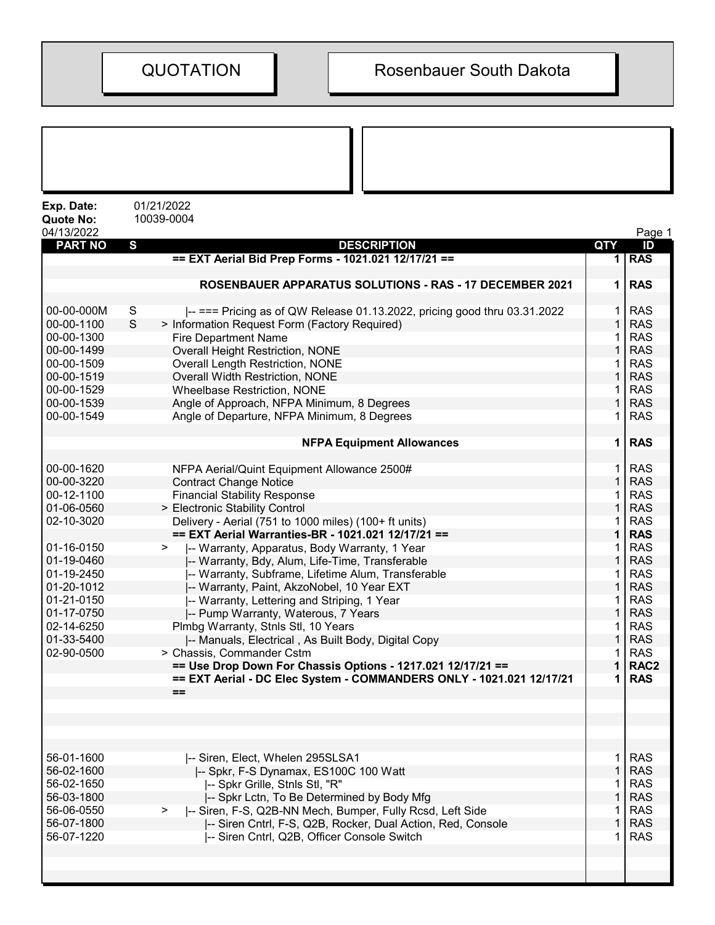| Exp. Date:<br><b>Quote No:</b> | 01/21/2022<br>10039-0004                                                                              |                   |                          |
|--------------------------------|-------------------------------------------------------------------------------------------------------|-------------------|--------------------------|
| 04/13/2022                     |                                                                                                       |                   | Page 1                   |
| <b>PART NO</b>                 | $\mathbf s$<br><b>DESCRIPTION</b>                                                                     | <b>QTY</b>        | ID                       |
|                                | == EXT Aerial Bid Prep Forms - 1021.021 12/17/21 ==                                                   | 1                 | <b>RAS</b>               |
|                                |                                                                                                       |                   |                          |
|                                | ROSENBAUER APPARATUS SOLUTIONS - RAS - 17 DECEMBER 2021                                               | 1                 | <b>RAS</b>               |
|                                |                                                                                                       |                   |                          |
| 00-00-000M                     | S<br>$\left  \right $ === Pricing as of QW Release 01.13.2022, pricing good thru 03.31.2022<br>S      | 1<br>$\mathbf{1}$ | <b>RAS</b>               |
| 00-00-1100<br>00-00-1300       | > Information Request Form (Factory Required)                                                         | 1                 | <b>RAS</b><br><b>RAS</b> |
| 00-00-1499                     | <b>Fire Department Name</b><br>Overall Height Restriction, NONE                                       | $\mathbf 1$       | <b>RAS</b>               |
| 00-00-1509                     | <b>Overall Length Restriction, NONE</b>                                                               | 1                 | <b>RAS</b>               |
| 00-00-1519                     | Overall Width Restriction, NONE                                                                       | $\mathbf{1}$      | <b>RAS</b>               |
| 00-00-1529                     | Wheelbase Restriction, NONE                                                                           | 1                 | <b>RAS</b>               |
| 00-00-1539                     | Angle of Approach, NFPA Minimum, 8 Degrees                                                            | $\mathbf 1$       | <b>RAS</b>               |
| 00-00-1549                     | Angle of Departure, NFPA Minimum, 8 Degrees                                                           | 1                 | <b>RAS</b>               |
|                                |                                                                                                       |                   |                          |
|                                | <b>NFPA Equipment Allowances</b>                                                                      | 1                 | <b>RAS</b>               |
|                                |                                                                                                       |                   |                          |
| 00-00-1620                     | NFPA Aerial/Quint Equipment Allowance 2500#                                                           | 1                 | <b>RAS</b>               |
| 00-00-3220                     | <b>Contract Change Notice</b>                                                                         | $\mathbf{1}$      | <b>RAS</b>               |
| 00-12-1100                     | <b>Financial Stability Response</b>                                                                   | 1                 | <b>RAS</b>               |
| 01-06-0560                     | > Electronic Stability Control                                                                        | 1                 | <b>RAS</b>               |
| 02-10-3020                     | Delivery - Aerial (751 to 1000 miles) (100+ ft units)                                                 | 1                 | <b>RAS</b>               |
|                                | == EXT Aerial Warranties-BR - 1021.021 12/17/21 ==                                                    | 1                 | <b>RAS</b>               |
| 01-16-0150<br>01-19-0460       | -- Warranty, Apparatus, Body Warranty, 1 Year<br>>                                                    | 1<br>$\mathbf{1}$ | <b>RAS</b><br><b>RAS</b> |
| 01-19-2450                     | -- Warranty, Bdy, Alum, Life-Time, Transferable<br>-- Warranty, Subframe, Lifetime Alum, Transferable | 1                 | <b>RAS</b>               |
| 01-20-1012                     | -- Warranty, Paint, AkzoNobel, 10 Year EXT                                                            | $\mathbf{1}$      | <b>RAS</b>               |
| 01-21-0150                     | -- Warranty, Lettering and Striping, 1 Year                                                           | 1                 | <b>RAS</b>               |
| 01-17-0750                     | -- Pump Warranty, Waterous, 7 Years                                                                   | $\mathbf{1}$      | <b>RAS</b>               |
| 02-14-6250                     | Plmbg Warranty, Stnls Stl, 10 Years                                                                   | 1                 | <b>RAS</b>               |
| 01-33-5400                     | -- Manuals, Electrical, As Built Body, Digital Copy                                                   | 1                 | <b>RAS</b>               |
| 02-90-0500                     | > Chassis, Commander Cstm                                                                             | 1                 | <b>RAS</b>               |
|                                | == Use Drop Down For Chassis Options - 1217.021 12/17/21 ==                                           |                   | RAC <sub>2</sub>         |
|                                | == EXT Aerial - DC Elec System - COMMANDERS ONLY - 1021.021 12/17/21                                  | 1                 | <b>RAS</b>               |
|                                | $==$                                                                                                  |                   |                          |
|                                |                                                                                                       |                   |                          |
|                                |                                                                                                       |                   |                          |
|                                |                                                                                                       |                   |                          |
|                                |                                                                                                       |                   |                          |
| 56-01-1600<br>56-02-1600       | -- Siren, Elect, Whelen 295SLSA1<br>-- Spkr, F-S Dynamax, ES100C 100 Watt                             | 1<br>$\mathbf{1}$ | <b>RAS</b><br><b>RAS</b> |
| 56-02-1650                     | -- Spkr Grille, Stnls Stl, "R"                                                                        | 1                 | <b>RAS</b>               |
| 56-03-1800                     | -- Spkr Lctn, To Be Determined by Body Mfg                                                            | $\mathbf{1}$      | <b>RAS</b>               |
| 56-06-0550                     | I-- Siren, F-S, Q2B-NN Mech, Bumper, Fully Rcsd, Left Side<br>>                                       | 1                 | <b>RAS</b>               |
| 56-07-1800                     | -- Siren Cntrl, F-S, Q2B, Rocker, Dual Action, Red, Console                                           | 1                 | <b>RAS</b>               |
| 56-07-1220                     | -- Siren Cntrl, Q2B, Officer Console Switch                                                           | 1                 | <b>RAS</b>               |
|                                |                                                                                                       |                   |                          |
|                                |                                                                                                       |                   |                          |
|                                |                                                                                                       |                   |                          |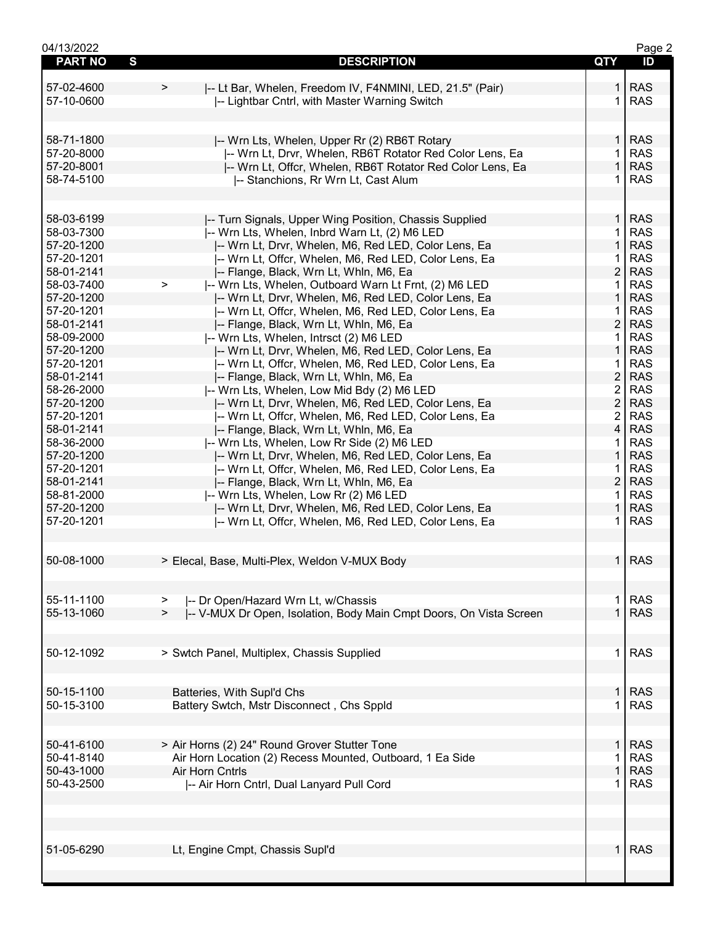| 04/13/2022     |                                                                              |                | Page 2     |
|----------------|------------------------------------------------------------------------------|----------------|------------|
| <b>PART NO</b> | S<br><b>DESCRIPTION</b>                                                      | <b>QTY</b>     | ID         |
|                |                                                                              |                |            |
| 57-02-4600     | I-- Lt Bar, Whelen, Freedom IV, F4NMINI, LED, 21.5" (Pair)<br>>              |                | <b>RAS</b> |
| 57-10-0600     | -- Lightbar Cntrl, with Master Warning Switch                                | 1              | <b>RAS</b> |
|                |                                                                              |                |            |
|                |                                                                              |                |            |
|                |                                                                              |                |            |
| 58-71-1800     | -- Wrn Lts, Whelen, Upper Rr (2) RB6T Rotary                                 | 1 <sup>1</sup> | <b>RAS</b> |
| 57-20-8000     | -- Wrn Lt, Drvr, Whelen, RB6T Rotator Red Color Lens, Ea                     | $\mathbf{1}$   | <b>RAS</b> |
| 57-20-8001     | -- Wrn Lt, Offcr, Whelen, RB6T Rotator Red Color Lens, Ea                    | $\mathbf{1}$   | <b>RAS</b> |
| 58-74-5100     | -- Stanchions, Rr Wrn Lt, Cast Alum                                          | 1.             | <b>RAS</b> |
|                |                                                                              |                |            |
|                |                                                                              |                |            |
| 58-03-6199     | -- Turn Signals, Upper Wing Position, Chassis Supplied                       | 1 <sup>1</sup> | <b>RAS</b> |
| 58-03-7300     | -- Wrn Lts, Whelen, Inbrd Warn Lt, (2) M6 LED                                | $\mathbf 1$    | <b>RAS</b> |
| 57-20-1200     | -- Wrn Lt, Drvr, Whelen, M6, Red LED, Color Lens, Ea                         | $\mathbf{1}$   | <b>RAS</b> |
| 57-20-1201     | -- Wrn Lt, Offcr, Whelen, M6, Red LED, Color Lens, Ea                        | 1.             | <b>RAS</b> |
| 58-01-2141     |                                                                              | $\overline{2}$ | <b>RAS</b> |
|                | -- Flange, Black, Wrn Lt, Whln, M6, Ea                                       |                |            |
| 58-03-7400     | -- Wrn Lts, Whelen, Outboard Warn Lt Frnt, (2) M6 LED<br>$\geq$              | 1              | <b>RAS</b> |
| 57-20-1200     | -- Wrn Lt, Drvr, Whelen, M6, Red LED, Color Lens, Ea                         | $\mathbf{1}$   | <b>RAS</b> |
| 57-20-1201     | I-- Wrn Lt, Offcr, Whelen, M6, Red LED, Color Lens, Ea                       | 1              | <b>RAS</b> |
| 58-01-2141     | -- Flange, Black, Wrn Lt, Whln, M6, Ea                                       | $\overline{2}$ | <b>RAS</b> |
| 58-09-2000     | -- Wrn Lts, Whelen, Intrsct (2) M6 LED                                       | $\mathbf{1}$   | <b>RAS</b> |
| 57-20-1200     | -- Wrn Lt, Drvr, Whelen, M6, Red LED, Color Lens, Ea                         | $\mathbf{1}$   | <b>RAS</b> |
| 57-20-1201     | -- Wrn Lt, Offcr, Whelen, M6, Red LED, Color Lens, Ea                        | 1              | <b>RAS</b> |
| 58-01-2141     | -- Flange, Black, Wrn Lt, Whln, M6, Ea                                       | $\overline{2}$ | <b>RAS</b> |
| 58-26-2000     | -- Wrn Lts, Whelen, Low Mid Bdy (2) M6 LED                                   | $\overline{2}$ | <b>RAS</b> |
| 57-20-1200     | -- Wrn Lt, Drvr, Whelen, M6, Red LED, Color Lens, Ea                         | $\overline{2}$ | <b>RAS</b> |
| 57-20-1201     | -- Wrn Lt, Offcr, Whelen, M6, Red LED, Color Lens, Ea                        | $\overline{2}$ | <b>RAS</b> |
| 58-01-2141     |                                                                              | 4              | <b>RAS</b> |
|                | -- Flange, Black, Wrn Lt, Whln, M6, Ea                                       |                |            |
| 58-36-2000     | -- Wrn Lts, Whelen, Low Rr Side (2) M6 LED                                   | 1.             | <b>RAS</b> |
| 57-20-1200     | -- Wrn Lt, Drvr, Whelen, M6, Red LED, Color Lens, Ea                         | $\mathbf{1}$   | <b>RAS</b> |
| 57-20-1201     | I-- Wrn Lt, Offcr, Whelen, M6, Red LED, Color Lens, Ea                       | 1.             | <b>RAS</b> |
| 58-01-2141     | -- Flange, Black, Wrn Lt, Whln, M6, Ea                                       | $\overline{2}$ | <b>RAS</b> |
| 58-81-2000     | -- Wrn Lts, Whelen, Low Rr (2) M6 LED                                        | 1.             | <b>RAS</b> |
| 57-20-1200     | -- Wrn Lt, Drvr, Whelen, M6, Red LED, Color Lens, Ea                         | 1.             | <b>RAS</b> |
| 57-20-1201     | -- Wrn Lt, Offcr, Whelen, M6, Red LED, Color Lens, Ea                        | 1.             | <b>RAS</b> |
|                |                                                                              |                |            |
|                |                                                                              |                |            |
| 50-08-1000     | > Elecal, Base, Multi-Plex, Weldon V-MUX Body                                |                | $1$ RAS    |
|                |                                                                              |                |            |
|                |                                                                              |                |            |
|                |                                                                              |                |            |
| 55-11-1100     | -- Dr Open/Hazard Wrn Lt, w/Chassis<br>$\geq$                                | 1.             | <b>RAS</b> |
| 55-13-1060     | -- V-MUX Dr Open, Isolation, Body Main Cmpt Doors, On Vista Screen<br>$\geq$ |                | <b>RAS</b> |
|                |                                                                              |                |            |
|                |                                                                              |                |            |
| 50-12-1092     | > Swtch Panel, Multiplex, Chassis Supplied                                   | $\mathbf 1$    | <b>RAS</b> |
|                |                                                                              |                |            |
|                |                                                                              |                |            |
| 50-15-1100     | Batteries, With Supl'd Chs                                                   | 1.             | <b>RAS</b> |
| 50-15-3100     | Battery Swtch, Mstr Disconnect, Chs Sppld                                    | 1.             | <b>RAS</b> |
|                |                                                                              |                |            |
|                |                                                                              |                |            |
| 50-41-6100     | > Air Horns (2) 24" Round Grover Stutter Tone                                | 1.             | <b>RAS</b> |
| 50-41-8140     | Air Horn Location (2) Recess Mounted, Outboard, 1 Ea Side                    |                | <b>RAS</b> |
| 50-43-1000     | Air Horn Cntrls                                                              | $\mathbf{1}$   | <b>RAS</b> |
|                |                                                                              | 1              |            |
| 50-43-2500     | -- Air Horn Cntrl, Dual Lanyard Pull Cord                                    |                | <b>RAS</b> |
|                |                                                                              |                |            |
|                |                                                                              |                |            |
|                |                                                                              |                |            |
|                |                                                                              |                |            |
| 51-05-6290     | Lt, Engine Cmpt, Chassis Supl'd                                              | 1.             | <b>RAS</b> |
|                |                                                                              |                |            |
|                |                                                                              |                |            |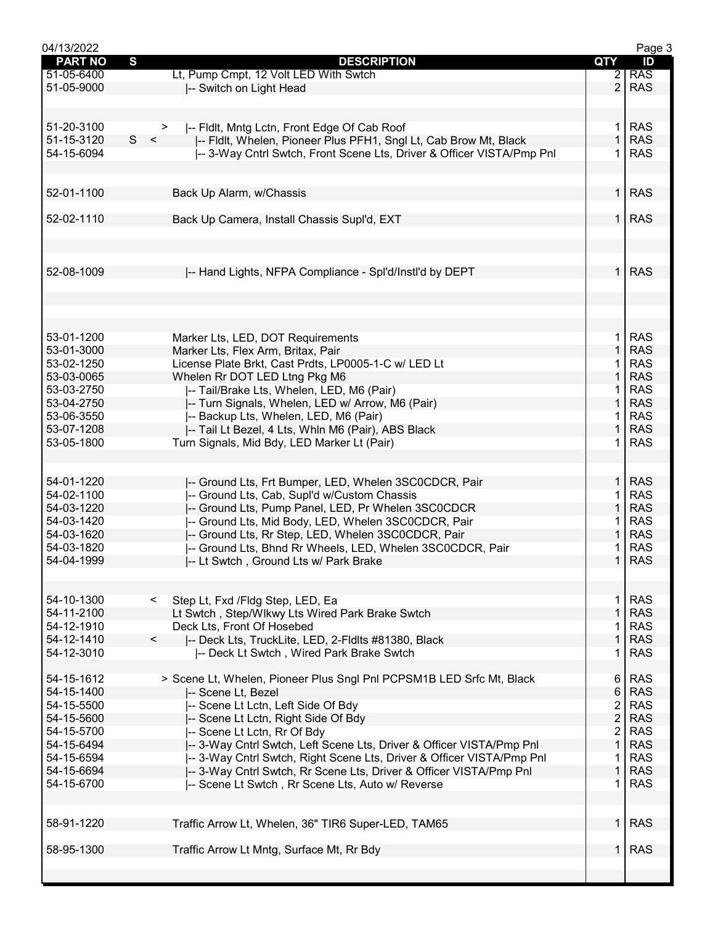| 04/13/2022     |                                                                       |                | Page 3     |
|----------------|-----------------------------------------------------------------------|----------------|------------|
| <b>PART NO</b> | S<br><b>DESCRIPTION</b>                                               | QTY            | ID         |
| 51-05-6400     | Lt, Pump Cmpt, 12 Volt LED With Swtch                                 | $\overline{2}$ | <b>RAS</b> |
| 51-05-9000     | -- Switch on Light Head                                               | $\overline{2}$ | <b>RAS</b> |
|                |                                                                       |                |            |
|                |                                                                       |                |            |
| 51-20-3100     | -- Fldlt, Mntg Lctn, Front Edge Of Cab Roof                           | 1.             | <b>RAS</b> |
|                | ><br>S<br>$\prec$                                                     |                |            |
| 51-15-3120     | -- Fidlt, Whelen, Pioneer Plus PFH1, Sngl Lt, Cab Brow Mt, Black      | $\mathbf{1}$   | <b>RAS</b> |
| 54-15-6094     | -- 3-Way Cntrl Swtch, Front Scene Lts, Driver & Officer VISTA/Pmp Pnl | 1              | <b>RAS</b> |
|                |                                                                       |                |            |
|                |                                                                       |                |            |
| 52-01-1100     | Back Up Alarm, w/Chassis                                              | 1.             | <b>RAS</b> |
|                |                                                                       |                |            |
| 52-02-1110     | Back Up Camera, Install Chassis Supl'd, EXT                           | 1 <sup>1</sup> | <b>RAS</b> |
|                |                                                                       |                |            |
|                |                                                                       |                |            |
|                |                                                                       |                |            |
| 52-08-1009     | -- Hand Lights, NFPA Compliance - Spl'd/Instl'd by DEPT               | $\mathbf{1}$   | <b>RAS</b> |
|                |                                                                       |                |            |
|                |                                                                       |                |            |
|                |                                                                       |                |            |
|                |                                                                       |                |            |
|                |                                                                       |                |            |
| 53-01-1200     | Marker Lts, LED, DOT Requirements                                     | 1.             | <b>RAS</b> |
| 53-01-3000     | Marker Lts, Flex Arm, Britax, Pair                                    | $\mathbf{1}$   | <b>RAS</b> |
| 53-02-1250     | License Plate Brkt, Cast Prdts, LP0005-1-C w/ LED Lt                  | 1              | <b>RAS</b> |
| 53-03-0065     | Whelen Rr DOT LED Ltng Pkg M6                                         | $\mathbf{1}$   | <b>RAS</b> |
| 53-03-2750     | -- Tail/Brake Lts, Whelen, LED, M6 (Pair)                             | 1              | <b>RAS</b> |
| 53-04-2750     | I-- Turn Signals, Whelen, LED w/ Arrow, M6 (Pair)                     | 1              | <b>RAS</b> |
| 53-06-3550     | -- Backup Lts, Whelen, LED, M6 (Pair)                                 |                | <b>RAS</b> |
| 53-07-1208     | -- Tail Lt Bezel, 4 Lts, Whln M6 (Pair), ABS Black                    | 1              | <b>RAS</b> |
| 53-05-1800     | Turn Signals, Mid Bdy, LED Marker Lt (Pair)                           | 1              | <b>RAS</b> |
|                |                                                                       |                |            |
|                |                                                                       |                |            |
|                |                                                                       | $\mathbf{1}$   |            |
| 54-01-1220     | -- Ground Lts, Frt Bumper, LED, Whelen 3SC0CDCR, Pair                 |                | <b>RAS</b> |
| 54-02-1100     | -- Ground Lts, Cab, Supl'd w/Custom Chassis                           | 1              | <b>RAS</b> |
| 54-03-1220     | -- Ground Lts, Pump Panel, LED, Pr Whelen 3SC0CDCR                    | 1              | <b>RAS</b> |
| 54-03-1420     | -- Ground Lts, Mid Body, LED, Whelen 3SC0CDCR, Pair                   |                | <b>RAS</b> |
| 54-03-1620     | -- Ground Lts, Rr Step, LED, Whelen 3SC0CDCR, Pair                    | 1              | <b>RAS</b> |
| 54-03-1820     | -- Ground Lts, Bhnd Rr Wheels, LED, Whelen 3SC0CDCR, Pair             | 1              | <b>RAS</b> |
| 54-04-1999     | -- Lt Swtch, Ground Lts w/ Park Brake                                 | $\mathbf 1$    | <b>RAS</b> |
|                |                                                                       |                |            |
|                |                                                                       |                |            |
| 54-10-1300     | Step Lt, Fxd /Fldg Step, LED, Ea<br>$\lt$                             | 1.             | <b>RAS</b> |
| 54-11-2100     | Lt Swtch, Step/Wlkwy Lts Wired Park Brake Swtch                       | $\mathbf 1$    | <b>RAS</b> |
| 54-12-1910     | Deck Lts, Front Of Hosebed                                            |                | <b>RAS</b> |
| 54-12-1410     | -- Deck Lts, TruckLite, LED, 2-Fldlts #81380, Black<br>$\lt$          | 1              | <b>RAS</b> |
| 54-12-3010     |                                                                       | 1              | <b>RAS</b> |
|                | -- Deck Lt Swtch, Wired Park Brake Swtch                              |                |            |
|                |                                                                       |                |            |
| 54-15-1612     | > Scene Lt, Whelen, Pioneer Plus Sngl Pnl PCPSM1B LED Srfc Mt, Black  | 6              | <b>RAS</b> |
| 54-15-1400     | -- Scene Lt, Bezel                                                    | $6\,$          | <b>RAS</b> |
| 54-15-5500     | -- Scene Lt Lctn, Left Side Of Bdy                                    | 2              | <b>RAS</b> |
| 54-15-5600     | -- Scene Lt Lctn, Right Side Of Bdy                                   | $\overline{2}$ | <b>RAS</b> |
| 54-15-5700     | -- Scene Lt Lctn, Rr Of Bdy                                           | 2              | <b>RAS</b> |
| 54-15-6494     | -- 3-Way Cntrl Swtch, Left Scene Lts, Driver & Officer VISTA/Pmp Pnl  | $\mathbf{1}$   | <b>RAS</b> |
| 54-15-6594     | -- 3-Way Cntrl Swtch, Right Scene Lts, Driver & Officer VISTA/Pmp Pnl | 1              | <b>RAS</b> |
| 54-15-6694     | -- 3-Way Cntrl Swtch, Rr Scene Lts, Driver & Officer VISTA/Pmp Pnl    | $\mathbf{1}$   | <b>RAS</b> |
| 54-15-6700     | -- Scene Lt Swtch, Rr Scene Lts, Auto w/ Reverse                      | 1              | <b>RAS</b> |
|                |                                                                       |                |            |
|                |                                                                       |                |            |
| 58-91-1220     |                                                                       | $\mathbf{1}$   | <b>RAS</b> |
|                | Traffic Arrow Lt, Whelen, 36" TIR6 Super-LED, TAM65                   |                |            |
|                |                                                                       |                |            |
| 58-95-1300     | Traffic Arrow Lt Mntg, Surface Mt, Rr Bdy                             | 1              | <b>RAS</b> |
|                |                                                                       |                |            |
|                |                                                                       |                |            |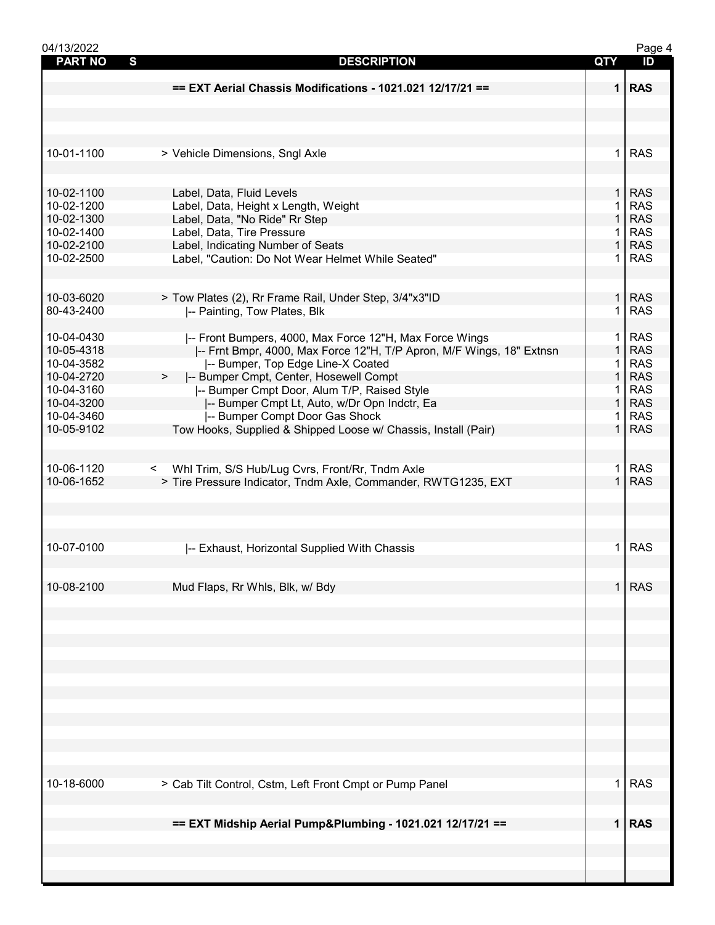| 04/13/2022     |                                                                      |              | Page 4     |
|----------------|----------------------------------------------------------------------|--------------|------------|
| <b>PART NO</b> | S<br><b>DESCRIPTION</b>                                              | QTY          | ID         |
|                |                                                                      |              |            |
|                | == EXT Aerial Chassis Modifications - 1021.021 12/17/21 ==           |              | $1$ RAS    |
|                |                                                                      |              |            |
|                |                                                                      |              |            |
|                |                                                                      |              |            |
|                |                                                                      |              |            |
| 10-01-1100     | > Vehicle Dimensions, Sngl Axle                                      | 1.           | <b>RAS</b> |
|                |                                                                      |              |            |
|                |                                                                      |              |            |
| 10-02-1100     | Label, Data, Fluid Levels                                            | 1            | <b>RAS</b> |
| 10-02-1200     | Label, Data, Height x Length, Weight                                 |              | <b>RAS</b> |
| 10-02-1300     | Label, Data, "No Ride" Rr Step                                       | 1            | <b>RAS</b> |
| 10-02-1400     | Label, Data, Tire Pressure                                           | 1            | <b>RAS</b> |
| 10-02-2100     | Label, Indicating Number of Seats                                    | $\mathbf{1}$ | <b>RAS</b> |
| 10-02-2500     | Label, "Caution: Do Not Wear Helmet While Seated"                    | 1.           | <b>RAS</b> |
|                |                                                                      |              |            |
|                |                                                                      |              |            |
| 10-03-6020     |                                                                      | $\mathbf{1}$ | <b>RAS</b> |
| 80-43-2400     | > Tow Plates (2), Rr Frame Rail, Under Step, 3/4"x3"ID               | 1            |            |
|                | -- Painting, Tow Plates, Blk                                         |              | <b>RAS</b> |
|                |                                                                      |              |            |
| 10-04-0430     | -- Front Bumpers, 4000, Max Force 12"H, Max Force Wings              | 1.           | <b>RAS</b> |
| 10-05-4318     | -- Frnt Bmpr, 4000, Max Force 12"H, T/P Apron, M/F Wings, 18" Extnsn | $\mathbf{1}$ | <b>RAS</b> |
| 10-04-3582     | -- Bumper, Top Edge Line-X Coated                                    | 1            | <b>RAS</b> |
| 10-04-2720     | -- Bumper Cmpt, Center, Hosewell Compt                               | $\mathbf{1}$ | <b>RAS</b> |
| 10-04-3160     | -- Bumper Cmpt Door, Alum T/P, Raised Style                          | 1.           | <b>RAS</b> |
| 10-04-3200     | -- Bumper Cmpt Lt, Auto, w/Dr Opn Indctr, Ea                         | $\mathbf{1}$ | <b>RAS</b> |
| 10-04-3460     | -- Bumper Compt Door Gas Shock                                       | 1            | <b>RAS</b> |
| 10-05-9102     | Tow Hooks, Supplied & Shipped Loose w/ Chassis, Install (Pair)       | $\mathbf 1$  | <b>RAS</b> |
|                |                                                                      |              |            |
|                |                                                                      |              |            |
| 10-06-1120     | Whl Trim, S/S Hub/Lug Cvrs, Front/Rr, Tndm Axle<br>$\prec$           | 1.           | <b>RAS</b> |
| 10-06-1652     | > Tire Pressure Indicator, Tndm Axle, Commander, RWTG1235, EXT       | $\mathbf{1}$ | <b>RAS</b> |
|                |                                                                      |              |            |
|                |                                                                      |              |            |
|                |                                                                      |              |            |
|                |                                                                      |              |            |
| 10-07-0100     | -- Exhaust, Horizontal Supplied With Chassis                         | 1.           | <b>RAS</b> |
|                |                                                                      |              |            |
|                |                                                                      |              |            |
| 10-08-2100     | Mud Flaps, Rr Whls, Blk, w/ Bdy                                      | $\mathbf 1$  | <b>RAS</b> |
|                |                                                                      |              |            |
|                |                                                                      |              |            |
|                |                                                                      |              |            |
|                |                                                                      |              |            |
|                |                                                                      |              |            |
|                |                                                                      |              |            |
|                |                                                                      |              |            |
|                |                                                                      |              |            |
|                |                                                                      |              |            |
|                |                                                                      |              |            |
|                |                                                                      |              |            |
|                |                                                                      |              |            |
|                |                                                                      |              |            |
|                |                                                                      |              |            |
|                |                                                                      |              |            |
| 10-18-6000     | > Cab Tilt Control, Cstm, Left Front Cmpt or Pump Panel              | 1.           | <b>RAS</b> |
|                |                                                                      |              |            |
|                |                                                                      |              |            |
|                | == EXT Midship Aerial Pump&Plumbing - 1021.021 12/17/21 ==           |              | $1$ RAS    |
|                |                                                                      |              |            |
|                |                                                                      |              |            |
|                |                                                                      |              |            |
|                |                                                                      |              |            |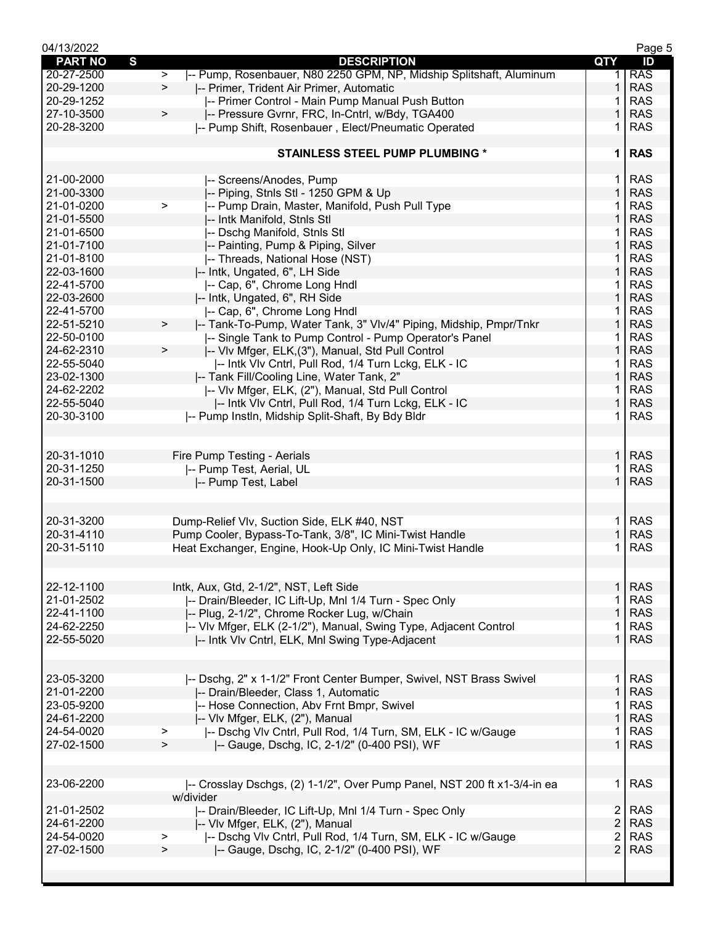| 04/13/2022               |                                                                                                                                  |                | Page 5                   |
|--------------------------|----------------------------------------------------------------------------------------------------------------------------------|----------------|--------------------------|
| S<br><b>PART NO</b>      | <b>DESCRIPTION</b>                                                                                                               | QTY            | ID                       |
| 20-27-2500               | -- Pump, Rosenbauer, N80 2250 GPM, NP, Midship Splitshaft, Aluminum<br>$\,>\,$                                                   | 1.             | <b>RAS</b>               |
| 20-29-1200               | -- Primer, Trident Air Primer, Automatic<br>$\geq$                                                                               | 1              | <b>RAS</b>               |
| 20-29-1252               | -- Primer Control - Main Pump Manual Push Button                                                                                 | 1              | <b>RAS</b>               |
| 27-10-3500               | I-- Pressure Gvrnr, FRC, In-Cntrl, w/Bdy, TGA400<br>>                                                                            | 1              | <b>RAS</b>               |
| 20-28-3200               | -- Pump Shift, Rosenbauer, Elect/Pneumatic Operated                                                                              | 1              | <b>RAS</b>               |
|                          | <b>STAINLESS STEEL PUMP PLUMBING *</b>                                                                                           | 1              | <b>RAS</b>               |
|                          |                                                                                                                                  |                |                          |
| 21-00-2000               | -- Screens/Anodes, Pump                                                                                                          | 1.             | <b>RAS</b>               |
| 21-00-3300               | -- Piping, Stnls Stl - 1250 GPM & Up                                                                                             | 1              | <b>RAS</b>               |
| 21-01-0200               | -- Pump Drain, Master, Manifold, Push Pull Type<br>$\,>\,$                                                                       | 1              | <b>RAS</b>               |
| 21-01-5500               | -- Intk Manifold, Stnls Stl                                                                                                      | 1              | <b>RAS</b>               |
| 21-01-6500               | -- Dschg Manifold, Stnls Stl                                                                                                     | 1.             | <b>RAS</b>               |
| 21-01-7100               | -- Painting, Pump & Piping, Silver                                                                                               | $\mathbf{1}$   | <b>RAS</b>               |
| 21-01-8100               | -- Threads, National Hose (NST)                                                                                                  | 1              | <b>RAS</b>               |
| 22-03-1600               | -- Intk, Ungated, 6", LH Side                                                                                                    | 1              | <b>RAS</b>               |
| 22-41-5700               | -- Cap, 6", Chrome Long Hndl                                                                                                     | 1<br>1         | <b>RAS</b><br><b>RAS</b> |
| 22-03-2600<br>22-41-5700 | -- Intk, Ungated, 6", RH Side                                                                                                    | 1              | <b>RAS</b>               |
| 22-51-5210               | -- Cap, 6", Chrome Long Hndl                                                                                                     | 1              | <b>RAS</b>               |
| 22-50-0100               | -- Tank-To-Pump, Water Tank, 3" VIv/4" Piping, Midship, Pmpr/Tnkr<br>><br>-- Single Tank to Pump Control - Pump Operator's Panel | 1.             | <b>RAS</b>               |
| 24-62-2310               | -- VIv Mfger, ELK, (3"), Manual, Std Pull Control<br>$\, > \,$                                                                   | $\mathbf{1}$   | <b>RAS</b>               |
| 22-55-5040               | -- Intk VIv Cntrl, Pull Rod, 1/4 Turn Lckg, ELK - IC                                                                             | 1.             | <b>RAS</b>               |
| 23-02-1300               | -- Tank Fill/Cooling Line, Water Tank, 2"                                                                                        | 1              | <b>RAS</b>               |
| 24-62-2202               | -- Vlv Mfger, ELK, (2"), Manual, Std Pull Control                                                                                | 1              | <b>RAS</b>               |
| 22-55-5040               | -- Intk VIv Cntrl, Pull Rod, 1/4 Turn Lckg, ELK - IC                                                                             | 1              | <b>RAS</b>               |
| 20-30-3100               | -- Pump Instln, Midship Split-Shaft, By Bdy Bldr                                                                                 | 1.             | <b>RAS</b>               |
|                          |                                                                                                                                  |                |                          |
|                          |                                                                                                                                  |                |                          |
| 20-31-1010               | Fire Pump Testing - Aerials                                                                                                      | $\mathbf{1}$   | <b>RAS</b>               |
| 20-31-1250               | -- Pump Test, Aerial, UL                                                                                                         | 1              | <b>RAS</b>               |
| 20-31-1500               | -- Pump Test, Label                                                                                                              | $\mathbf 1$    | <b>RAS</b>               |
|                          |                                                                                                                                  |                |                          |
| 20-31-3200               | Dump-Relief Vlv, Suction Side, ELK #40, NST                                                                                      | $\mathbf 1$    | <b>RAS</b>               |
| 20-31-4110               | Pump Cooler, Bypass-To-Tank, 3/8", IC Mini-Twist Handle                                                                          | 1              | <b>RAS</b>               |
| 20-31-5110               | Heat Exchanger, Engine, Hook-Up Only, IC Mini-Twist Handle                                                                       | 1              | <b>RAS</b>               |
|                          |                                                                                                                                  |                |                          |
| 22-12-1100               | Intk, Aux, Gtd, 2-1/2", NST, Left Side                                                                                           | $\mathbf{1}$   | <b>RAS</b>               |
| 21-01-2502               | I-- Drain/Bleeder, IC Lift-Up, MnI 1/4 Turn - Spec Only                                                                          |                | <b>RAS</b>               |
| 22-41-1100               | -- Plug, 2-1/2", Chrome Rocker Lug, w/Chain                                                                                      | 1              | <b>RAS</b>               |
| 24-62-2250               | -- VIv Mfger, ELK (2-1/2"), Manual, Swing Type, Adjacent Control                                                                 | 1              | <b>RAS</b>               |
| 22-55-5020               | -- Intk VIv Cntrl, ELK, Mnl Swing Type-Adjacent                                                                                  | $\mathbf 1$    | <b>RAS</b>               |
|                          |                                                                                                                                  |                |                          |
| 23-05-3200               | -- Dschg, 2" x 1-1/2" Front Center Bumper, Swivel, NST Brass Swivel                                                              | $\mathbf{1}$   | <b>RAS</b>               |
| 21-01-2200               | -- Drain/Bleeder, Class 1, Automatic                                                                                             | $\mathbf{1}$   | <b>RAS</b>               |
| 23-05-9200               | -- Hose Connection, Abv Frnt Bmpr, Swivel                                                                                        |                | <b>RAS</b>               |
| 24-61-2200               | -- Vlv Mfger, ELK, (2"), Manual                                                                                                  | $\mathbf{1}$   | <b>RAS</b>               |
| 24-54-0020               | -- Dschg VIv Cntrl, Pull Rod, 1/4 Turn, SM, ELK - IC w/Gauge<br>>                                                                | 1.             | <b>RAS</b>               |
| 27-02-1500               | -- Gauge, Dschg, IC, 2-1/2" (0-400 PSI), WF<br>⋗                                                                                 | $\mathbf{1}$   | <b>RAS</b>               |
|                          |                                                                                                                                  |                |                          |
| 23-06-2200               | -- Crosslay Dschgs, (2) 1-1/2", Over Pump Panel, NST 200 ft x1-3/4-in ea                                                         | 1.             | <b>RAS</b>               |
|                          | w/divider                                                                                                                        |                |                          |
| 21-01-2502               | -- Drain/Bleeder, IC Lift-Up, Mnl 1/4 Turn - Spec Only                                                                           | 2 <sup>1</sup> | <b>RAS</b>               |
| 24-61-2200               | -- Vlv Mfger, ELK, (2"), Manual                                                                                                  | $\overline{2}$ | <b>RAS</b>               |
| 24-54-0020               | I-- Dschg VIv Cntrl, Pull Rod, 1/4 Turn, SM, ELK - IC w/Gauge<br>>                                                               | $\overline{2}$ | <b>RAS</b>               |
| 27-02-1500               | -- Gauge, Dschg, IC, 2-1/2" (0-400 PSI), WF<br>⋗                                                                                 | $\overline{2}$ | <b>RAS</b>               |
|                          |                                                                                                                                  |                |                          |
|                          |                                                                                                                                  |                |                          |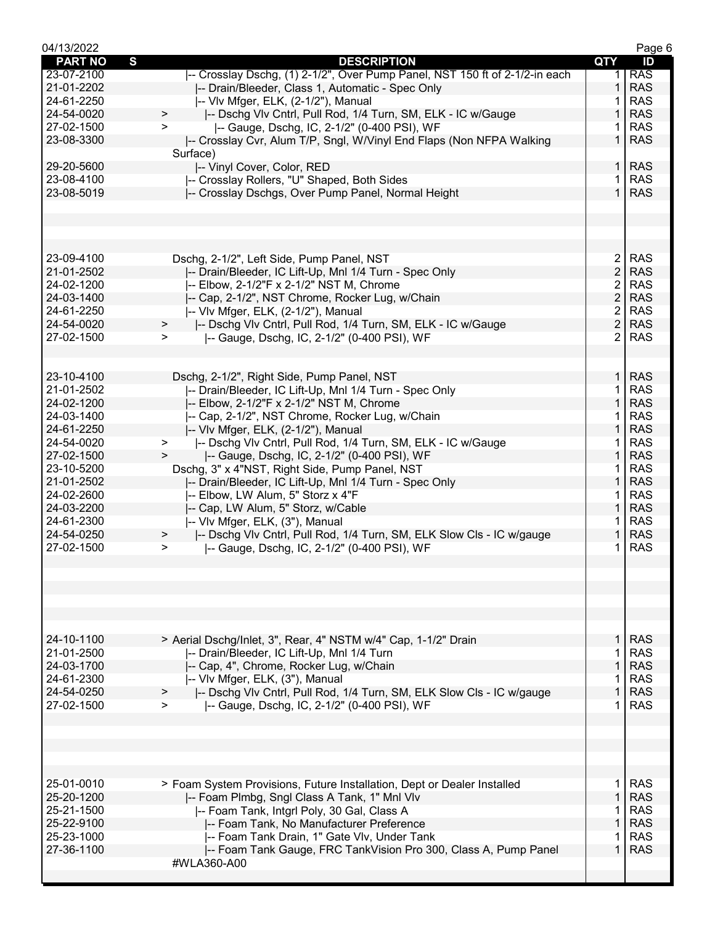| 04/13/2022     |                                                                                 |                | Page 6     |
|----------------|---------------------------------------------------------------------------------|----------------|------------|
| <b>PART NO</b> | S<br><b>DESCRIPTION</b>                                                         | <b>QTY</b>     | ID         |
| 23-07-2100     | -- Crosslay Dschg, (1) 2-1/2", Over Pump Panel, NST 150 ft of 2-1/2-in each     | 1              | <b>RAS</b> |
| 21-01-2202     | -- Drain/Bleeder, Class 1, Automatic - Spec Only                                | 1              | <b>RAS</b> |
| 24-61-2250     | -- Vlv Mfger, ELK, (2-1/2"), Manual                                             |                | <b>RAS</b> |
| 24-54-0020     | -- Dschg VIv Cntrl, Pull Rod, 1/4 Turn, SM, ELK - IC w/Gauge<br>$\mathbf{L}$    | 1              | <b>RAS</b> |
| 27-02-1500     | -- Gauge, Dschg, IC, 2-1/2" (0-400 PSI), WF<br>$\geq$                           | 1              | <b>RAS</b> |
| 23-08-3300     | -- Crosslay Cvr, Alum T/P, Sngl, W/Vinyl End Flaps (Non NFPA Walking            | $\mathbf{1}$   | <b>RAS</b> |
|                | Surface)                                                                        |                |            |
| 29-20-5600     | -- Vinyl Cover, Color, RED                                                      | 1 <sup>1</sup> | <b>RAS</b> |
| 23-08-4100     | -- Crosslay Rollers, "U" Shaped, Both Sides                                     | 1              | <b>RAS</b> |
| 23-08-5019     | -- Crosslay Dschgs, Over Pump Panel, Normal Height                              | $\mathbf{1}$   | <b>RAS</b> |
|                |                                                                                 |                |            |
|                |                                                                                 |                |            |
|                |                                                                                 |                |            |
|                |                                                                                 |                |            |
| 23-09-4100     | Dschg, 2-1/2", Left Side, Pump Panel, NST                                       | $\overline{2}$ | <b>RAS</b> |
| 21-01-2502     | I-- Drain/Bleeder, IC Lift-Up, MnI 1/4 Turn - Spec Only                         | $\overline{2}$ | <b>RAS</b> |
| 24-02-1200     | -- Elbow, 2-1/2"F x 2-1/2" NST M, Chrome                                        | $\overline{2}$ | <b>RAS</b> |
|                |                                                                                 | $\overline{2}$ | <b>RAS</b> |
| 24-03-1400     | -- Cap, 2-1/2", NST Chrome, Rocker Lug, w/Chain                                 |                |            |
| 24-61-2250     | -- Vlv Mfger, ELK, (2-1/2"), Manual                                             | $\overline{2}$ | <b>RAS</b> |
| 24-54-0020     | -- Dschg VIv Cntrl, Pull Rod, 1/4 Turn, SM, ELK - IC w/Gauge<br>$\geq$          | $\overline{2}$ | <b>RAS</b> |
| 27-02-1500     | -- Gauge, Dschg, IC, 2-1/2" (0-400 PSI), WF<br>$\geq$                           | $\overline{2}$ | <b>RAS</b> |
|                |                                                                                 |                |            |
|                |                                                                                 |                |            |
| 23-10-4100     | Dschg, 2-1/2", Right Side, Pump Panel, NST                                      | 1              | <b>RAS</b> |
| 21-01-2502     | -- Drain/Bleeder, IC Lift-Up, Mnl 1/4 Turn - Spec Only                          | $\mathbf{1}$   | <b>RAS</b> |
| 24-02-1200     | -- Elbow, 2-1/2"F x 2-1/2" NST M, Chrome                                        | $\mathbf{1}$   | <b>RAS</b> |
| 24-03-1400     | -- Cap, 2-1/2", NST Chrome, Rocker Lug, w/Chain                                 | 1.             | <b>RAS</b> |
| 24-61-2250     | -- VIv Mfger, ELK, (2-1/2"), Manual                                             | 1              | <b>RAS</b> |
| 24-54-0020     | -- Dschg Vlv Cntrl, Pull Rod, 1/4 Turn, SM, ELK - IC w/Gauge<br>$\geq$          | 1              | <b>RAS</b> |
| 27-02-1500     | -- Gauge, Dschg, IC, 2-1/2" (0-400 PSI), WF<br>>                                | 1              | <b>RAS</b> |
| 23-10-5200     | Dschg, 3" x 4"NST, Right Side, Pump Panel, NST                                  | 1.             | <b>RAS</b> |
| 21-01-2502     | -- Drain/Bleeder, IC Lift-Up, Mnl 1/4 Turn - Spec Only                          | $\mathbf{1}$   | <b>RAS</b> |
| 24-02-2600     | -- Elbow, LW Alum, 5" Storz x 4"F                                               | 1.             | <b>RAS</b> |
| 24-03-2200     | -- Cap, LW Alum, 5" Storz, w/Cable                                              | $\mathbf{1}$   | <b>RAS</b> |
| 24-61-2300     | -- Vlv Mfger, ELK, (3"), Manual                                                 |                | <b>RAS</b> |
| 24-54-0250     | -- Dschg VIv Cntrl, Pull Rod, 1/4 Turn, SM, ELK Slow Cls - IC w/gauge<br>$\geq$ | 1              | <b>RAS</b> |
| 27-02-1500     | -- Gauge, Dschg, IC, 2-1/2" (0-400 PSI), WF<br>$\geq$                           |                | <b>RAS</b> |
|                |                                                                                 |                |            |
|                |                                                                                 |                |            |
|                |                                                                                 |                |            |
|                |                                                                                 |                |            |
|                |                                                                                 |                |            |
|                |                                                                                 |                |            |
| 24-10-1100     | > Aerial Dschg/Inlet, 3", Rear, 4" NSTM w/4" Cap, 1-1/2" Drain                  | 1 I            | <b>RAS</b> |
| 21-01-2500     | -- Drain/Bleeder, IC Lift-Up, Mnl 1/4 Turn                                      | 1              | <b>RAS</b> |
| 24-03-1700     | -- Cap, 4", Chrome, Rocker Lug, w/Chain                                         | $\mathbf{1}$   | <b>RAS</b> |
| 24-61-2300     |                                                                                 | 1.             | <b>RAS</b> |
| 24-54-0250     | -- Vlv Mfger, ELK, (3"), Manual                                                 | $\mathbf{1}$   | <b>RAS</b> |
|                | -- Dschg VIv Cntrl, Pull Rod, 1/4 Turn, SM, ELK Slow Cls - IC w/gauge           |                |            |
| 27-02-1500     | -- Gauge, Dschg, IC, 2-1/2" (0-400 PSI), WF<br>$\geq$                           | $\mathbf 1$    | <b>RAS</b> |
|                |                                                                                 |                |            |
|                |                                                                                 |                |            |
|                |                                                                                 |                |            |
|                |                                                                                 |                |            |
|                |                                                                                 |                |            |
| 25-01-0010     | > Foam System Provisions, Future Installation, Dept or Dealer Installed         | 1 I            | <b>RAS</b> |
| 25-20-1200     | -- Foam Plmbg, Sngl Class A Tank, 1" Mnl Vlv                                    | 1              | <b>RAS</b> |
| 25-21-1500     | -- Foam Tank, Intgrl Poly, 30 Gal, Class A                                      | 1.             | <b>RAS</b> |
| 25-22-9100     | -- Foam Tank, No Manufacturer Preference                                        | $\mathbf{1}$   | <b>RAS</b> |
| 25-23-1000     | I-- Foam Tank Drain, 1" Gate VIv, Under Tank                                    |                | <b>RAS</b> |
| 27-36-1100     | -- Foam Tank Gauge, FRC TankVision Pro 300, Class A, Pump Panel                 | $\mathbf 1$    | <b>RAS</b> |
|                | #WLA360-A00                                                                     |                |            |
|                |                                                                                 |                |            |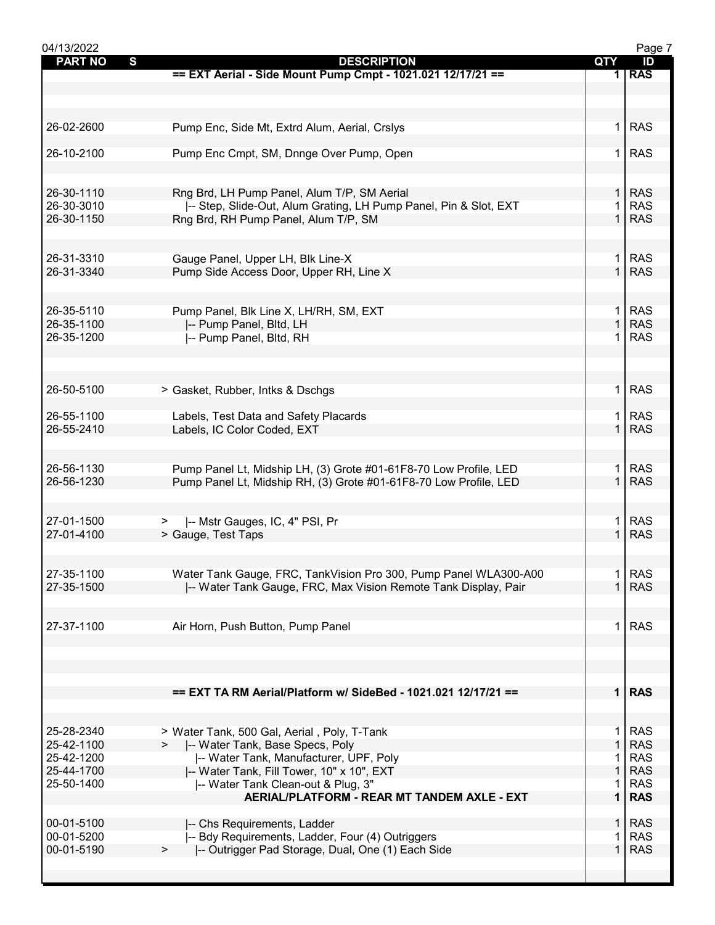| 04/13/2022                     |                                                                   |              | Page 7     |
|--------------------------------|-------------------------------------------------------------------|--------------|------------|
| $\mathbf{s}$<br><b>PART NO</b> | <b>DESCRIPTION</b>                                                | QTY          | ID         |
|                                | == EXT Aerial - Side Mount Pump Cmpt - 1021.021 12/17/21 ==       |              | 1 RAS      |
|                                |                                                                   |              |            |
|                                |                                                                   |              |            |
|                                |                                                                   |              |            |
| 26-02-2600                     | Pump Enc, Side Mt, Extrd Alum, Aerial, Crslys                     | 1.           | <b>RAS</b> |
|                                |                                                                   |              |            |
| 26-10-2100                     | Pump Enc Cmpt, SM, Dnnge Over Pump, Open                          | 1.           | <b>RAS</b> |
|                                |                                                                   |              |            |
|                                |                                                                   |              |            |
| 26-30-1110                     | Rng Brd, LH Pump Panel, Alum T/P, SM Aerial                       | $\mathbf{1}$ | <b>RAS</b> |
| 26-30-3010                     |                                                                   | 1            | <b>RAS</b> |
|                                | I-- Step, Slide-Out, Alum Grating, LH Pump Panel, Pin & Slot, EXT | $\mathbf{1}$ |            |
| 26-30-1150                     | Rng Brd, RH Pump Panel, Alum T/P, SM                              |              | <b>RAS</b> |
|                                |                                                                   |              |            |
|                                |                                                                   |              |            |
| 26-31-3310                     | Gauge Panel, Upper LH, Blk Line-X                                 | 1.           | <b>RAS</b> |
| 26-31-3340                     | Pump Side Access Door, Upper RH, Line X                           | $\mathbf{1}$ | <b>RAS</b> |
|                                |                                                                   |              |            |
|                                |                                                                   |              |            |
| 26-35-5110                     | Pump Panel, Blk Line X, LH/RH, SM, EXT                            | 1.           | <b>RAS</b> |
| 26-35-1100                     | -- Pump Panel, Bltd, LH                                           | $\mathbf{1}$ | <b>RAS</b> |
| 26-35-1200                     | -- Pump Panel, Bltd, RH                                           | 1            | <b>RAS</b> |
|                                |                                                                   |              |            |
|                                |                                                                   |              |            |
|                                |                                                                   |              |            |
|                                |                                                                   |              | <b>RAS</b> |
| 26-50-5100                     | > Gasket, Rubber, Intks & Dschgs                                  | 1            |            |
|                                |                                                                   |              |            |
| 26-55-1100                     | Labels, Test Data and Safety Placards                             | 1.           | <b>RAS</b> |
| 26-55-2410                     | Labels, IC Color Coded, EXT                                       | $\mathbf{1}$ | <b>RAS</b> |
|                                |                                                                   |              |            |
|                                |                                                                   |              |            |
| 26-56-1130                     | Pump Panel Lt, Midship LH, (3) Grote #01-61F8-70 Low Profile, LED | 1.           | <b>RAS</b> |
| 26-56-1230                     | Pump Panel Lt, Midship RH, (3) Grote #01-61F8-70 Low Profile, LED |              | <b>RAS</b> |
|                                |                                                                   |              |            |
|                                |                                                                   |              |            |
| 27-01-1500                     | >  -- Mstr Gauges, IC, 4" PSI, Pr                                 | 1            | <b>RAS</b> |
| 27-01-4100                     | > Gauge, Test Taps                                                | $\mathbf{1}$ | <b>RAS</b> |
|                                |                                                                   |              |            |
|                                |                                                                   |              |            |
| 27-35-1100                     | Water Tank Gauge, FRC, TankVision Pro 300, Pump Panel WLA300-A00  | 1            | <b>RAS</b> |
| 27-35-1500                     |                                                                   |              | <b>RAS</b> |
|                                | -- Water Tank Gauge, FRC, Max Vision Remote Tank Display, Pair    |              |            |
|                                |                                                                   |              |            |
|                                |                                                                   |              |            |
| 27-37-1100                     | Air Horn, Push Button, Pump Panel                                 | 1.           | <b>RAS</b> |
|                                |                                                                   |              |            |
|                                |                                                                   |              |            |
|                                |                                                                   |              |            |
|                                |                                                                   |              |            |
|                                | == EXT TA RM Aerial/Platform w/ SideBed - 1021.021 12/17/21 ==    |              | $1$ RAS    |
|                                |                                                                   |              |            |
|                                |                                                                   |              |            |
| 25-28-2340                     | > Water Tank, 500 Gal, Aerial, Poly, T-Tank                       | 1.           | <b>RAS</b> |
| 25-42-1100                     | -- Water Tank, Base Specs, Poly                                   | $\mathbf{1}$ | <b>RAS</b> |
| 25-42-1200                     | -- Water Tank, Manufacturer, UPF, Poly                            |              | <b>RAS</b> |
| 25-44-1700                     | -- Water Tank, Fill Tower, 10" x 10", EXT                         | 1            | <b>RAS</b> |
| 25-50-1400                     | -- Water Tank Clean-out & Plug, 3"                                | 1            | <b>RAS</b> |
|                                | <b>AERIAL/PLATFORM - REAR MT TANDEM AXLE - EXT</b>                | $\mathbf 1$  | <b>RAS</b> |
|                                |                                                                   |              |            |
| 00-01-5100                     |                                                                   | $\mathbf{1}$ | <b>RAS</b> |
| 00-01-5200                     | -- Chs Requirements, Ladder                                       |              | <b>RAS</b> |
|                                | -- Bdy Requirements, Ladder, Four (4) Outriggers                  | 1<br>1       |            |
| 00-01-5190                     | -- Outrigger Pad Storage, Dual, One (1) Each Side<br>$\geq$       |              | <b>RAS</b> |
|                                |                                                                   |              |            |
|                                |                                                                   |              |            |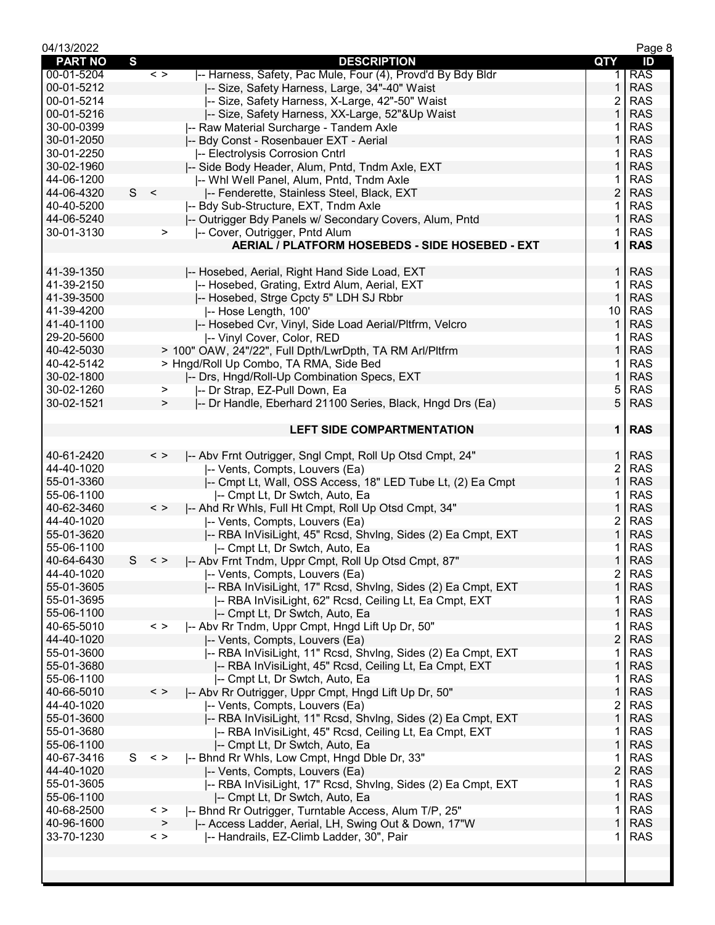| 04/13/2022     |   |               |                                                                    |                | Page 8     |
|----------------|---|---------------|--------------------------------------------------------------------|----------------|------------|
| <b>PART NO</b> | S |               | <b>DESCRIPTION</b>                                                 | QTY            | ID         |
| 00-01-5204     |   | $\,<\,>$      | -- Harness, Safety, Pac Mule, Four (4), Provd'd By Bdy Bldr        | 1.             | <b>RAS</b> |
| 00-01-5212     |   |               | -- Size, Safety Harness, Large, 34"-40" Waist                      | 1              | <b>RAS</b> |
| 00-01-5214     |   |               | -- Size, Safety Harness, X-Large, 42"-50" Waist                    | 2              | <b>RAS</b> |
| 00-01-5216     |   |               | -- Size, Safety Harness, XX-Large, 52"&Up Waist                    | 1              | <b>RAS</b> |
| 30-00-0399     |   |               | -- Raw Material Surcharge - Tandem Axle                            |                | <b>RAS</b> |
| 30-01-2050     |   |               | -- Bdy Const - Rosenbauer EXT - Aerial                             | 1              | <b>RAS</b> |
| 30-01-2250     |   |               | -- Electrolysis Corrosion Cntrl                                    | 1              | <b>RAS</b> |
| 30-02-1960     |   |               | I-- Side Body Header, Alum, Pntd, Tndm Axle, EXT                   | $\mathbf{1}$   | <b>RAS</b> |
| 44-06-1200     |   |               | -- Whi Well Panel, Alum, Pntd, Tndm Axle                           | 1              | <b>RAS</b> |
| 44-06-4320     | S | $\,<$         | -- Fenderette, Stainless Steel, Black, EXT                         | $\overline{c}$ | <b>RAS</b> |
| 40-40-5200     |   |               | -- Bdy Sub-Structure, EXT, Tndm Axle                               | 1              | <b>RAS</b> |
| 44-06-5240     |   |               | -- Outrigger Bdy Panels w/ Secondary Covers, Alum, Pntd            | 1              | <b>RAS</b> |
| 30-01-3130     |   | $\geq$        | -- Cover, Outrigger, Pntd Alum                                     | 1              | <b>RAS</b> |
|                |   |               | AERIAL / PLATFORM HOSEBEDS - SIDE HOSEBED - EXT                    | $\mathbf 1$    | <b>RAS</b> |
|                |   |               |                                                                    |                |            |
| 41-39-1350     |   |               | -- Hosebed, Aerial, Right Hand Side Load, EXT                      | $\mathbf{1}$   | <b>RAS</b> |
| 41-39-2150     |   |               | -- Hosebed, Grating, Extrd Alum, Aerial, EXT                       | 1              | <b>RAS</b> |
| 41-39-3500     |   |               | -- Hosebed, Strge Cpcty 5" LDH SJ Rbbr                             | $\mathbf{1}$   | <b>RAS</b> |
| 41-39-4200     |   |               | -- Hose Length, 100'                                               | 10             | <b>RAS</b> |
| 41-40-1100     |   |               | -- Hosebed Cvr, Vinyl, Side Load Aerial/Pltfrm, Velcro             | 1              | <b>RAS</b> |
| 29-20-5600     |   |               | -- Vinyl Cover, Color, RED                                         | 1              | <b>RAS</b> |
| 40-42-5030     |   |               | > 100" OAW, 24"/22", Full Dpth/LwrDpth, TA RM Arl/Pltfrm           | 1              | <b>RAS</b> |
| 40-42-5142     |   |               | > Hngd/Roll Up Combo, TA RMA, Side Bed                             | 1              | <b>RAS</b> |
| 30-02-1800     |   |               | -- Drs, Hngd/Roll-Up Combination Specs, EXT                        | $\mathbf{1}$   | <b>RAS</b> |
| 30-02-1260     |   | >             | -- Dr Strap, EZ-Pull Down, Ea                                      | 5              | <b>RAS</b> |
| 30-02-1521     |   | $\geq$        | -- Dr Handle, Eberhard 21100 Series, Black, Hngd Drs (Ea)          | 5              | <b>RAS</b> |
|                |   |               |                                                                    |                |            |
|                |   |               | <b>LEFT SIDE COMPARTMENTATION</b>                                  | 1              | <b>RAS</b> |
|                |   |               |                                                                    |                |            |
| 40-61-2420     |   | $\langle$ $>$ | -- Abv Frnt Outrigger, Sngl Cmpt, Roll Up Otsd Cmpt, 24"           | $\mathbf{1}$   | <b>RAS</b> |
| 44-40-1020     |   |               | I-- Vents, Compts, Louvers (Ea)                                    | $\overline{c}$ | <b>RAS</b> |
| 55-01-3360     |   |               | -- Cmpt Lt, Wall, OSS Access, 18" LED Tube Lt, (2) Ea Cmpt         | $\mathbf{1}$   | <b>RAS</b> |
| 55-06-1100     |   |               | I-- Cmpt Lt, Dr Swtch, Auto, Ea                                    | 1              | <b>RAS</b> |
| 40-62-3460     |   | $\,<\,>$      | -- Ahd Rr Whls, Full Ht Cmpt, Roll Up Otsd Cmpt, 34"               | $\mathbf{1}$   | <b>RAS</b> |
| 44-40-1020     |   |               | -- Vents, Compts, Louvers (Ea)                                     | 2              | <b>RAS</b> |
| 55-01-3620     |   |               | -- RBA InVisiLight, 45" Rcsd, ShvIng, Sides (2) Ea Cmpt, EXT       | $\mathbf{1}$   | <b>RAS</b> |
| 55-06-1100     |   |               | -- Cmpt Lt, Dr Swtch, Auto, Ea                                     |                | <b>RAS</b> |
| 40-64-6430     | S | $\langle$ >   | -- Abv Frnt Tndm, Uppr Cmpt, Roll Up Otsd Cmpt, 87"                | $\mathbf{1}$   | <b>RAS</b> |
| 44-40-1020     |   |               | -- Vents, Compts, Louvers (Ea)                                     | $\overline{2}$ | <b>RAS</b> |
| 55-01-3605     |   |               | .<br> -- RBA InVisiLight, 17" Rcsd, Shvlng, Sides (2) Ea Cmpt, EXT | $\mathbf{1}$   | <b>RAS</b> |
| 55-01-3695     |   |               | I-- RBA InVisiLight, 62" Rcsd, Ceiling Lt, Ea Cmpt, EXT            | 1              | <b>RAS</b> |
| 55-06-1100     |   |               | -- Cmpt Lt, Dr Swtch, Auto, Ea                                     | 1              | <b>RAS</b> |
| 40-65-5010     |   | $\langle$ >   | -- Abv Rr Tndm, Uppr Cmpt, Hngd Lift Up Dr, 50"                    | 1              | <b>RAS</b> |
| 44-40-1020     |   |               | -- Vents, Compts, Louvers (Ea)                                     | $\overline{c}$ | <b>RAS</b> |
| 55-01-3600     |   |               | I-- RBA InVisiLight, 11" Rcsd, ShvIng, Sides (2) Ea Cmpt, EXT      | 1              | <b>RAS</b> |
| 55-01-3680     |   |               | -- RBA InVisiLight, 45" Rcsd, Ceiling Lt, Ea Cmpt, EXT             | 1              | <b>RAS</b> |
| 55-06-1100     |   |               | I-- Cmpt Lt, Dr Swtch, Auto, Ea                                    | 1              | <b>RAS</b> |
| 40-66-5010     |   | $\,<\,>$      | -- Abv Rr Outrigger, Uppr Cmpt, Hngd Lift Up Dr, 50"               | $\mathbf{1}$   | <b>RAS</b> |
| 44-40-1020     |   |               | -- Vents, Compts, Louvers (Ea)                                     | 2              | <b>RAS</b> |
| 55-01-3600     |   |               | -- RBA InVisiLight, 11" Rcsd, ShvIng, Sides (2) Ea Cmpt, EXT       | $\mathbf{1}$   | <b>RAS</b> |
| 55-01-3680     |   |               | -- RBA InVisiLight, 45" Rcsd, Ceiling Lt, Ea Cmpt, EXT             | 1              | <b>RAS</b> |
| 55-06-1100     |   |               | -- Cmpt Lt, Dr Swtch, Auto, Ea                                     | 1              | <b>RAS</b> |
| 40-67-3416     |   | $S < \gt$     | -- Bhnd Rr Whls, Low Cmpt, Hngd Dble Dr, 33"                       | 1              | <b>RAS</b> |
| 44-40-1020     |   |               | -- Vents, Compts, Louvers (Ea)                                     | $\overline{c}$ | <b>RAS</b> |
| 55-01-3605     |   |               | -- RBA InVisiLight, 17" Rcsd, ShvIng, Sides (2) Ea Cmpt, EXT       | 1              | <b>RAS</b> |
| 55-06-1100     |   |               | -- Cmpt Lt, Dr Swtch, Auto, Ea                                     | $\mathbf{1}$   | <b>RAS</b> |
| 40-68-2500     |   | $\,<\,>$      | -- Bhnd Rr Outrigger, Turntable Access, Alum T/P, 25"              | 1              | <b>RAS</b> |
| 40-96-1600     |   | $\geq$        | -- Access Ladder, Aerial, LH, Swing Out & Down, 17"W               | 1              | <b>RAS</b> |
| 33-70-1230     |   | $\langle$ $>$ | -- Handrails, EZ-Climb Ladder, 30", Pair                           | 1              | <b>RAS</b> |
|                |   |               |                                                                    |                |            |
|                |   |               |                                                                    |                |            |
|                |   |               |                                                                    |                |            |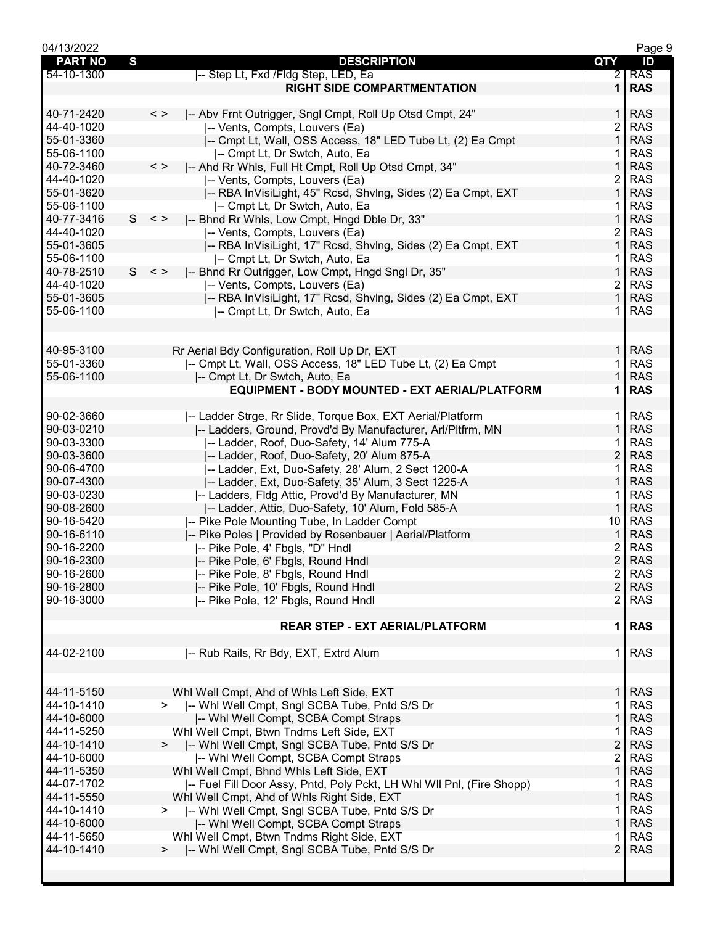| 04/13/2022     |   |                                                                         |                | Page 9     |
|----------------|---|-------------------------------------------------------------------------|----------------|------------|
| <b>PART NO</b> | S | <b>DESCRIPTION</b>                                                      | QTY            | ID         |
| 54-10-1300     |   | -- Step Lt, Fxd / Fldg Step, LED, Ea                                    | $\overline{2}$ | <b>RAS</b> |
|                |   | <b>RIGHT SIDE COMPARTMENTATION</b>                                      | 1              | <b>RAS</b> |
|                |   |                                                                         |                |            |
|                |   |                                                                         |                |            |
| 40-71-2420     |   | $\langle$ ><br>-- Abv Frnt Outrigger, Sngl Cmpt, Roll Up Otsd Cmpt, 24" | 1.             | <b>RAS</b> |
| 44-40-1020     |   | -- Vents, Compts, Louvers (Ea)                                          | 2              | <b>RAS</b> |
| 55-01-3360     |   | -- Cmpt Lt, Wall, OSS Access, 18" LED Tube Lt, (2) Ea Cmpt              | $\mathbf{1}$   | <b>RAS</b> |
| 55-06-1100     |   | -- Cmpt Lt, Dr Swtch, Auto, Ea                                          | 1              | <b>RAS</b> |
| 40-72-3460     |   | $\,<\,>$<br>-- Ahd Rr Whls, Full Ht Cmpt, Roll Up Otsd Cmpt, 34"        | $\mathbf{1}$   | <b>RAS</b> |
| 44-40-1020     |   | -- Vents, Compts, Louvers (Ea)                                          | 2              | <b>RAS</b> |
| 55-01-3620     |   | -- RBA InVisiLight, 45" Rcsd, ShvIng, Sides (2) Ea Cmpt, EXT            | 1              | <b>RAS</b> |
| 55-06-1100     |   | -- Cmpt Lt, Dr Swtch, Auto, Ea                                          |                | <b>RAS</b> |
| 40-77-3416     | S | -- Bhnd Rr Whls, Low Cmpt, Hngd Dble Dr, 33"<br>$\langle$ >             | 1              | <b>RAS</b> |
|                |   |                                                                         |                |            |
| 44-40-1020     |   | -- Vents, Compts, Louvers (Ea)                                          | 2              | <b>RAS</b> |
| 55-01-3605     |   | -- RBA InVisiLight, 17" Rcsd, ShvIng, Sides (2) Ea Cmpt, EXT            | $\mathbf{1}$   | <b>RAS</b> |
| 55-06-1100     |   | -- Cmpt Lt, Dr Swtch, Auto, Ea                                          | 1              | <b>RAS</b> |
| 40-78-2510     | S | $\,<\,>$<br>-- Bhnd Rr Outrigger, Low Cmpt, Hngd Sngl Dr, 35"           | $\mathbf{1}$   | <b>RAS</b> |
| 44-40-1020     |   | -- Vents, Compts, Louvers (Ea)                                          | 2              | <b>RAS</b> |
| 55-01-3605     |   | -- RBA InVisiLight, 17" Rcsd, ShvIng, Sides (2) Ea Cmpt, EXT            | $\mathbf 1$    | <b>RAS</b> |
| 55-06-1100     |   |                                                                         |                | <b>RAS</b> |
|                |   | -- Cmpt Lt, Dr Swtch, Auto, Ea                                          |                |            |
|                |   |                                                                         |                |            |
|                |   |                                                                         |                |            |
| 40-95-3100     |   | Rr Aerial Bdy Configuration, Roll Up Dr, EXT                            | $\mathbf{1}$   | <b>RAS</b> |
| 55-01-3360     |   | -- Cmpt Lt, Wall, OSS Access, 18" LED Tube Lt, (2) Ea Cmpt              | 1              | <b>RAS</b> |
| 55-06-1100     |   | -- Cmpt Lt, Dr Swtch, Auto, Ea                                          | $\mathbf{1}$   | <b>RAS</b> |
|                |   | EQUIPMENT - BODY MOUNTED - EXT AERIAL/PLATFORM                          | 1              | <b>RAS</b> |
|                |   |                                                                         |                |            |
| 90-02-3660     |   |                                                                         |                | <b>RAS</b> |
|                |   | -- Ladder Strge, Rr Slide, Torque Box, EXT Aerial/Platform              | 1              |            |
| 90-03-0210     |   | -- Ladders, Ground, Provd'd By Manufacturer, Arl/Pltfrm, MN             | $\mathbf{1}$   | <b>RAS</b> |
| 90-03-3300     |   | -- Ladder, Roof, Duo-Safety, 14' Alum 775-A                             |                | <b>RAS</b> |
| 90-03-3600     |   | -- Ladder, Roof, Duo-Safety, 20' Alum 875-A                             | $\overline{2}$ | <b>RAS</b> |
| 90-06-4700     |   | -- Ladder, Ext, Duo-Safety, 28' Alum, 2 Sect 1200-A                     | 1              | <b>RAS</b> |
| 90-07-4300     |   | -- Ladder, Ext, Duo-Safety, 35' Alum, 3 Sect 1225-A                     | 1              | <b>RAS</b> |
| 90-03-0230     |   | -- Ladders, Fldg Attic, Provd'd By Manufacturer, MN                     |                | <b>RAS</b> |
| 90-08-2600     |   |                                                                         | 1              | <b>RAS</b> |
|                |   | -- Ladder, Attic, Duo-Safety, 10' Alum, Fold 585-A                      |                |            |
| 90-16-5420     |   | -- Pike Pole Mounting Tube, In Ladder Compt                             | 10             | <b>RAS</b> |
| 90-16-6110     |   | -- Pike Poles   Provided by Rosenbauer   Aerial/Platform                | 1              | <b>RAS</b> |
| 90-16-2200     |   | -- Pike Pole, 4' Fbgls, "D" Hndl                                        | 2              | <b>RAS</b> |
| 90-16-2300     |   | -- Pike Pole, 6' Fbgls, Round Hndl                                      | $\overline{2}$ | <b>RAS</b> |
| 90-16-2600     |   | -- Pike Pole, 8' Fbgls, Round Hndl                                      | $\overline{c}$ | <b>RAS</b> |
| 90-16-2800     |   | -- Pike Pole, 10' Fbgls, Round Hndl                                     | $\overline{2}$ | <b>RAS</b> |
|                |   |                                                                         |                |            |
| 90-16-3000     |   | -- Pike Pole, 12' Fbgls, Round Hndl                                     | 2              | <b>RAS</b> |
|                |   |                                                                         |                |            |
|                |   | <b>REAR STEP - EXT AERIAL/PLATFORM</b>                                  | 1              | <b>RAS</b> |
|                |   |                                                                         |                |            |
| 44-02-2100     |   | -- Rub Rails, Rr Bdy, EXT, Extrd Alum                                   | 1.             | <b>RAS</b> |
|                |   |                                                                         |                |            |
|                |   |                                                                         |                |            |
| 44-11-5150     |   |                                                                         | 1.             | <b>RAS</b> |
|                |   | Whl Well Cmpt, Ahd of Whls Left Side, EXT                               |                |            |
| 44-10-1410     |   | -- Whi Well Cmpt, Sngl SCBA Tube, Pntd S/S Dr<br>$>$ $\sim$             | 1              | <b>RAS</b> |
| 44-10-6000     |   | -- Whi Well Compt, SCBA Compt Straps                                    | 1              | <b>RAS</b> |
| 44-11-5250     |   | Whl Well Cmpt, Btwn Tndms Left Side, EXT                                | 1              | <b>RAS</b> |
| 44-10-1410     |   | >  -- Whi Well Cmpt, Sngl SCBA Tube, Pntd S/S Dr                        | $\overline{2}$ | <b>RAS</b> |
| 44-10-6000     |   | -- Whi Well Compt, SCBA Compt Straps                                    | $\overline{2}$ | <b>RAS</b> |
| 44-11-5350     |   | Whl Well Cmpt, Bhnd Whls Left Side, EXT                                 | $\mathbf{1}$   | <b>RAS</b> |
| 44-07-1702     |   | -- Fuel Fill Door Assy, Pntd, Poly Pckt, LH Whl WII Pnl, (Fire Shopp)   | 1              | <b>RAS</b> |
|                |   |                                                                         |                |            |
| 44-11-5550     |   | Whl Well Cmpt, Ahd of Whls Right Side, EXT                              | 1              | <b>RAS</b> |
| 44-10-1410     |   | -- Whi Well Cmpt, Sngl SCBA Tube, Pntd S/S Dr<br>$\geq$                 | 1              | <b>RAS</b> |
| 44-10-6000     |   | -- Whi Well Compt, SCBA Compt Straps                                    | 1              | <b>RAS</b> |
| 44-11-5650     |   | Whl Well Cmpt, Btwn Tndms Right Side, EXT                               | 1              | <b>RAS</b> |
| 44-10-1410     |   | -- Whi Well Cmpt, Sngl SCBA Tube, Pntd S/S Dr<br>$\geq$                 | $\overline{2}$ | <b>RAS</b> |
|                |   |                                                                         |                |            |
|                |   |                                                                         |                |            |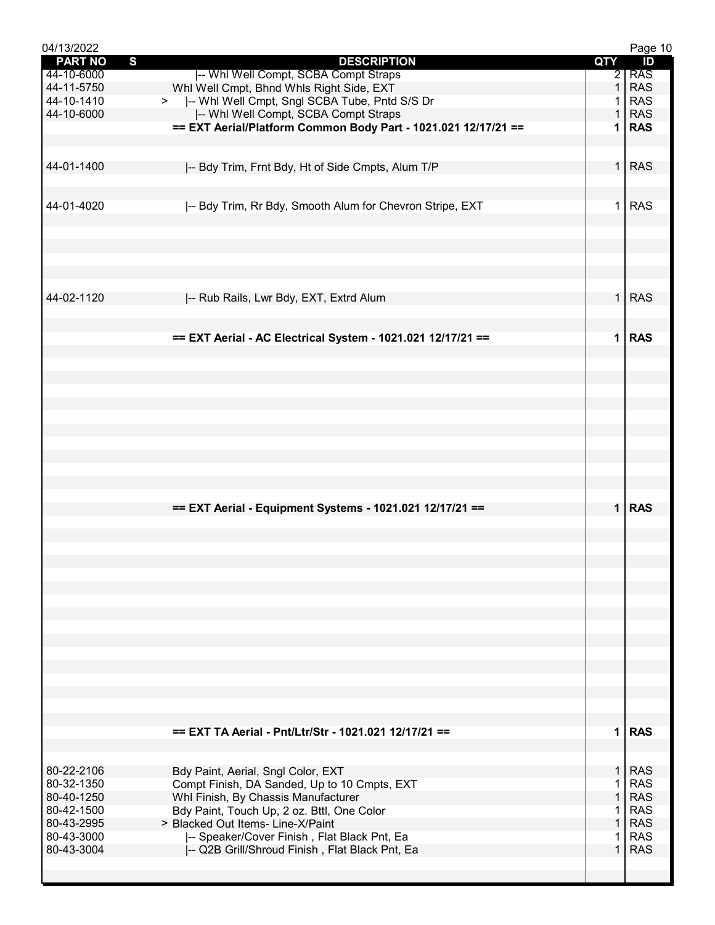| 04/13/2022     |                                                                |              | Page 10    |
|----------------|----------------------------------------------------------------|--------------|------------|
| <b>PART NO</b> | $\mathbf{s}$<br><b>DESCRIPTION</b>                             | QTY          | ID         |
| 44-10-6000     | -- Whl Well Compt, SCBA Compt Straps                           |              | $2$ RAS    |
| 44-11-5750     | Whi Well Cmpt, Bhnd Whis Right Side, EXT                       | $\mathbf{1}$ | <b>RAS</b> |
| 44-10-1410     | >  -- Whi Well Cmpt, Sngl SCBA Tube, Pntd S/S Dr               | 1.           | <b>RAS</b> |
| 44-10-6000     | -- Whl Well Compt, SCBA Compt Straps                           | $\mathbf{1}$ | <b>RAS</b> |
|                | == EXT Aerial/Platform Common Body Part - 1021.021 12/17/21 == | 1.           | <b>RAS</b> |
|                |                                                                |              |            |
| 44-01-1400     |                                                                | $\mathbf 1$  | <b>RAS</b> |
|                | -- Bdy Trim, Frnt Bdy, Ht of Side Cmpts, Alum T/P              |              |            |
|                |                                                                |              |            |
| 44-01-4020     | -- Bdy Trim, Rr Bdy, Smooth Alum for Chevron Stripe, EXT       | 1.           | <b>RAS</b> |
|                |                                                                |              |            |
|                |                                                                |              |            |
|                |                                                                |              |            |
|                |                                                                |              |            |
|                |                                                                |              |            |
|                |                                                                |              |            |
| 44-02-1120     | -- Rub Rails, Lwr Bdy, EXT, Extrd Alum                         |              | 1 RAS      |
|                |                                                                |              |            |
|                |                                                                |              |            |
|                | == EXT Aerial - AC Electrical System - 1021.021 12/17/21 ==    | $\mathbf 1$  | <b>RAS</b> |
|                |                                                                |              |            |
|                |                                                                |              |            |
|                |                                                                |              |            |
|                |                                                                |              |            |
|                |                                                                |              |            |
|                |                                                                |              |            |
|                |                                                                |              |            |
|                |                                                                |              |            |
|                |                                                                |              |            |
|                |                                                                |              |            |
|                |                                                                |              |            |
|                |                                                                |              |            |
|                | == EXT Aerial - Equipment Systems - 1021.021 12/17/21 ==       |              | $1$ RAS    |
|                |                                                                |              |            |
|                |                                                                |              |            |
|                |                                                                |              |            |
|                |                                                                |              |            |
|                |                                                                |              |            |
|                |                                                                |              |            |
|                |                                                                |              |            |
|                |                                                                |              |            |
|                |                                                                |              |            |
|                |                                                                |              |            |
|                |                                                                |              |            |
|                |                                                                |              |            |
|                |                                                                |              |            |
|                |                                                                |              |            |
|                |                                                                |              |            |
|                | == EXT TA Aerial - Pnt/Ltr/Str - 1021.021 12/17/21 ==          |              | 1 RAS      |
|                |                                                                |              |            |
|                |                                                                |              |            |
| 80-22-2106     | Bdy Paint, Aerial, Sngl Color, EXT                             | 1.           | <b>RAS</b> |
| 80-32-1350     | Compt Finish, DA Sanded, Up to 10 Cmpts, EXT                   | 1            | <b>RAS</b> |
| 80-40-1250     | Whl Finish, By Chassis Manufacturer                            | $\mathbf{1}$ | <b>RAS</b> |
| 80-42-1500     | Bdy Paint, Touch Up, 2 oz. Bttl, One Color                     | $\mathbf{1}$ | <b>RAS</b> |
| 80-43-2995     | > Blacked Out Items- Line-X/Paint                              | $\mathbf{1}$ | <b>RAS</b> |
| 80-43-3000     | -- Speaker/Cover Finish, Flat Black Pnt, Ea                    | 1.           | <b>RAS</b> |
| 80-43-3004     | -- Q2B Grill/Shroud Finish, Flat Black Pnt, Ea                 | $\mathbf 1$  | <b>RAS</b> |
|                |                                                                |              |            |
|                |                                                                |              |            |